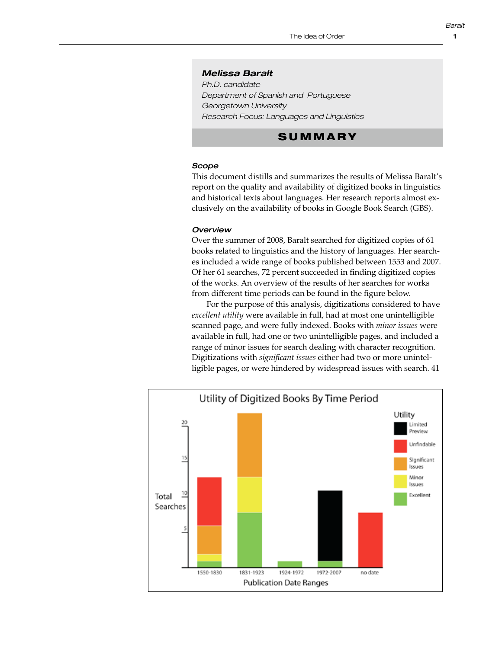#### *Melissa Baralt*

*Ph.D. candidate Department of Spanish and Portuguese Georgetown University Research Focus: Languages and Linguistics*

# **SUMMARY**

### *Scope*

This document distills and summarizes the results of Melissa Baralt's report on the quality and availability of digitized books in linguistics and historical texts about languages. Her research reports almost exclusively on the availability of books in Google Book Search (GBS).

#### *Overview*

Over the summer of 2008, Baralt searched for digitized copies of 61 books related to linguistics and the history of languages. Her searches included a wide range of books published between 1553 and 2007. Of her 61 searches, 72 percent succeeded in finding digitized copies of the works. An overview of the results of her searches for works **Scope:** from different time periods can be found in the figure below.

For the purpose of this analysis, digitizations considered to have excellent utility were available in full, had at most one unintelligible scanned page, and were fully indexed. Books with *minor issues* were available in full, had one or two unintelligible pages, and included a range of minor issues for search dealing with character recognition. Digitizations with *significant issues* either had two or more unintelligible pages, or were hindered by widespread issues with search.  $41$ **Overview:**  copies of the copies of the results of the results from different search from different from different from different from different from different from different from different from different from different from different